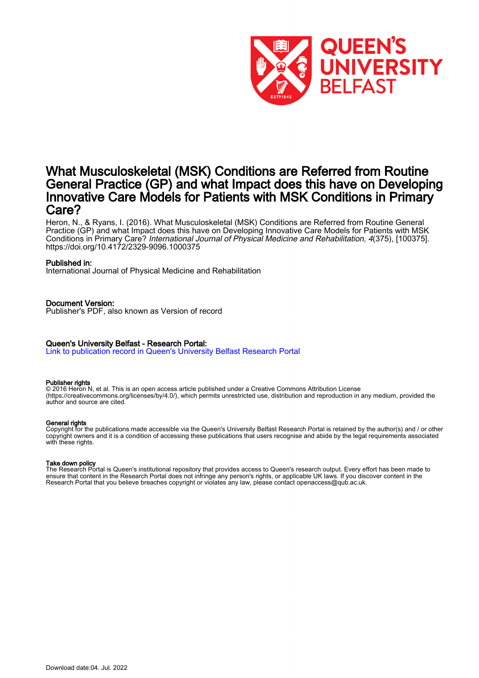

# What Musculoskeletal (MSK) Conditions are Referred from Routine General Practice (GP) and what Impact does this have on Developing Innovative Care Models for Patients with MSK Conditions in Primary Care?

Heron, N., & Ryans, I. (2016). What Musculoskeletal (MSK) Conditions are Referred from Routine General Practice (GP) and what Impact does this have on Developing Innovative Care Models for Patients with MSK Conditions in Primary Care? International Journal of Physical Medicine and Rehabilitation, 4(375), [100375]. <https://doi.org/10.4172/2329-9096.1000375>

# Published in:

International Journal of Physical Medicine and Rehabilitation

# Document Version:

Publisher's PDF, also known as Version of record

# Queen's University Belfast - Research Portal:

[Link to publication record in Queen's University Belfast Research Portal](https://pure.qub.ac.uk/en/publications/3331cf51-75cf-4221-b6c0-a8721b1b426f)

#### Publisher rights

© 2016 Heron N, et al. This is an open access article published under a Creative Commons Attribution License (https://creativecommons.org/licenses/by/4.0/), which permits unrestricted use, distribution and reproduction in any medium, provided the author and source are cited.

#### General rights

Copyright for the publications made accessible via the Queen's University Belfast Research Portal is retained by the author(s) and / or other copyright owners and it is a condition of accessing these publications that users recognise and abide by the legal requirements associated with these rights.

#### Take down policy

The Research Portal is Queen's institutional repository that provides access to Queen's research output. Every effort has been made to ensure that content in the Research Portal does not infringe any person's rights, or applicable UK laws. If you discover content in the Research Portal that you believe breaches copyright or violates any law, please contact openaccess@qub.ac.uk.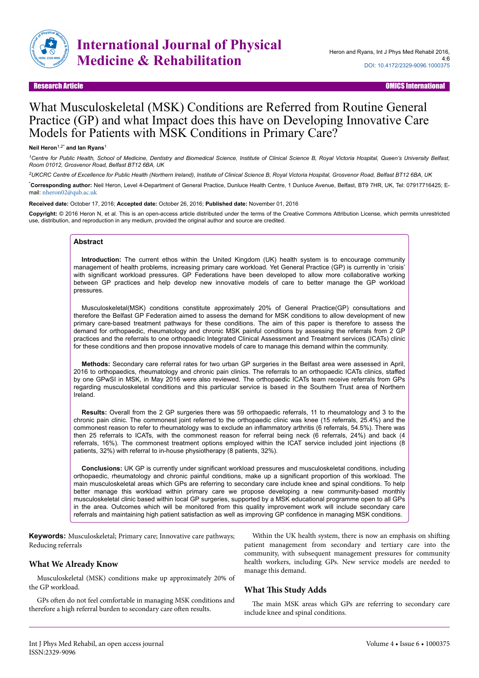

# What Musculoskeletal (MSK) Conditions are Referred from Routine General Practice (GP) and what Impact does this have on Developing Innovative Care Models for Patients with MSK Conditions in Primary Care?

#### **Neil Heron**1,2\* **and Ian Ryans**<sup>1</sup>

*<sup>1</sup>Centre for Public Health, School of Medicine, Dentistry and Biomedical Science, Institute of Clinical Science B, Royal Victoria Hospital, Queen's University Belfast, Room 01012, Grosvenor Road, Belfast BT12 6BA, UK*

*<sup>2</sup>UKCRC Centre of Excellence for Public Health (Northern Ireland), Institute of Clinical Science B, Royal Victoria Hospital, Grosvenor Road, Belfast BT12 6BA, UK*

\***Corresponding author:** Neil Heron, Level 4-Department of General Practice, Dunluce Health Centre, 1 Dunluce Avenue, Belfast, BT9 7HR, UK, Tel: 07917716425; Email: [nheron02@qub.ac.uk](mailto:nheron02@qub.ac.uk)

**Received date:** October 17, 2016; **Accepted date:** October 26, 2016; **Published date:** November 01, 2016

**Copyright:** © 2016 Heron N, et al. This is an open-access article distributed under the terms of the Creative Commons Attribution License, which permits unrestricted use, distribution, and reproduction in any medium, provided the original author and source are credited.

# **Abstract**

**Introduction:** The current ethos within the United Kingdom (UK) health system is to encourage community management of health problems, increasing primary care workload. Yet General Practice (GP) is currently in 'crisis' with significant workload pressures. GP Federations have been developed to allow more collaborative working between GP practices and help develop new innovative models of care to better manage the GP workload pressures.

Musculoskeletal(MSK) conditions constitute approximately 20% of General Practice(GP) consultations and therefore the Belfast GP Federation aimed to assess the demand for MSK conditions to allow development of new primary care-based treatment pathways for these conditions. The aim of this paper is therefore to assess the demand for orthopaedic, rheumatology and chronic MSK painful conditions by assessing the referrals from 2 GP practices and the referrals to one orthopaedic Integrated Clinical Assessment and Treatment services (ICATs) clinic for these conditions and then propose innovative models of care to manage this demand within the community.

**Methods:** Secondary care referral rates for two urban GP surgeries in the Belfast area were assessed in April, 2016 to orthopaedics, rheumatology and chronic pain clinics. The referrals to an orthopaedic ICATs clinics, staffed by one GPwSI in MSK, in May 2016 were also reviewed. The orthopaedic ICATs team receive referrals from GPs regarding musculoskeletal conditions and this particular service is based in the Southern Trust area of Northern Ireland.

**Results:** Overall from the 2 GP surgeries there was 59 orthopaedic referrals, 11 to rheumatology and 3 to the chronic pain clinic. The commonest joint referred to the orthopaedic clinic was knee (15 referrals, 25.4%) and the commonest reason to refer to rheumatology was to exclude an inflammatory arthritis (6 referrals, 54.5%). There was then 25 referrals to ICATs, with the commonest reason for referral being neck (6 referrals, 24%) and back (4 referrals, 16%). The commonest treatment options employed within the ICAT service included joint injections (8 patients, 32%) with referral to in-house physiotherapy (8 patients, 32%).

**Conclusions:** UK GP is currently under significant workload pressures and musculoskeletal conditions, including orthopaedic, rheumatology and chronic painful conditions, make up a significant proportion of this workload. The main musculoskeletal areas which GPs are referring to secondary care include knee and spinal conditions. To help better manage this workload within primary care we propose developing a new community-based monthly musculoskeletal clinic based within local GP surgeries, supported by a MSK educational programme open to all GPs in the area. Outcomes which will be monitored from this quality improvement work will include secondary care referrals and maintaining high patient satisfaction as well as improving GP confidence in managing MSK conditions.

**Keywords:** Musculoskeletal; Primary care; Innovative care pathways; Reducing referrals

# **What We Already Know**

Musculoskeletal (MSK) conditions make up approximately 20% of the GP workload.

GPs often do not feel comfortable in managing MSK conditions and therefore a high referral burden to secondary care often results.

Within the UK health system, there is now an emphasis on shifting patient management from secondary and tertiary care into the community, with subsequent management pressures for community health workers, including GPs. New service models are needed to manage this demand.

# **What This Study Adds**

The main MSK areas which GPs are referring to secondary care include knee and spinal conditions.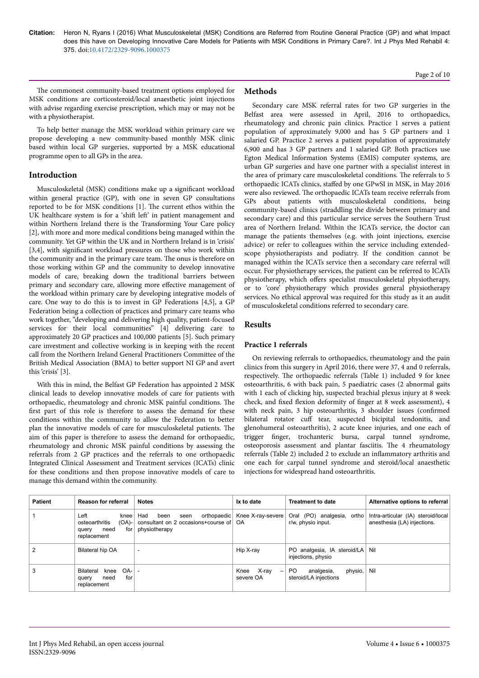Page 2 of 10

The commonest community-based treatment options employed for MSK conditions are corticosteroid/local anaesthetic joint injections with advise regarding exercise prescription, which may or may not be with a physiotherapist.

To help better manage the MSK workload within primary care we propose developing a new community-based monthly MSK clinic based within local GP surgeries, supported by a MSK educational programme open to all GPs in the area.

# **Introduction**

Musculoskeletal (MSK) conditions make up a significant workload within general practice (GP), with one in seven GP consultations reported to be for MSK conditions [1]. Нe current ethos within the UK healthcare system is for a 'shift left' in patient management and within Northern Ireland there is the Transforming Your Care policy [2], with more and more medical conditions being managed within the community. Yet GP within the UK and in Northern Ireland is in 'crisis' [3,4], with significant workload pressures on those who work within the community and in the primary care team. Нe onus is therefore on those working within GP and the community to develop innovative models of care, breaking down the traditional barriers between primary and secondary care, allowing more effective management of the workload within primary care by developing integrative models of care. One way to do this is to invest in GP Federations [4,5], a GP Federation being a collection of practices and primary care teams who work together, "developing and delivering high quality, patient-focused services for their local communities" [4] delivering care to approximately 20 GP practices and 100,000 patients [5]. Such primary care investment and collective working is in keeping with the recent call from the Northern Ireland General Practitioners Committee of the British Medical Association (BMA) to better support NI GP and avert this 'crisis' [3].

With this in mind, the Belfast GP Federation has appointed 2 MSK clinical leads to develop innovative models of care for patients with orthopaedic, rheumatology and chronic MSK painful conditions. Нe first part of this role is therefore to assess the demand for these conditions within the community to allow the Federation to better plan the innovative models of care for musculoskeletal patients. Нe aim of this paper is therefore to assess the demand for orthopaedic, rheumatology and chronic MSK painful conditions by assessing the referrals from 2 GP practices and the referrals to one orthopaedic Integrated Clinical Assessment and Treatment services (ICATs) clinic for these conditions and then propose innovative models of care to manage this demand within the community.

# **Methods**

Secondary care MSK referral rates for two GP surgeries in the Belfast area were assessed in April, 2016 to orthopaedics, rheumatology and chronic pain clinics. Practice 1 serves a patient population of approximately 9,000 and has 5 GP partners and 1 salaried GP. Practice 2 serves a patient population of approximately 6,900 and has 3 GP partners and 1 salaried GP. Both practices use Egton Medical Information Systems (EMIS) computer systems, are urban GP surgeries and have one partner with a specialist interest in the area of primary care musculoskeletal conditions. Нe referrals to 5 orthopaedic ICATs clinics, staffed by one GPwSI in MSK, in May 2016 were also reviewed. Нe orthopaedic ICATs team receive referrals from GPs about patients with musculoskeletal conditions, being community-based clinics (straddling the divide between primary and secondary care) and this particular service serves the Southern Trust area of Northern Ireland. Within the ICATs service, the doctor can manage the patients themselves (e.g. with joint injections, exercise advice) or refer to colleagues within the service including extendedscope physiotherapists and podiatry. If the condition cannot be managed within the ICATs service then a secondary care referral will occur. For physiotherapy services, the patient can be referred to ICATs physiotherapy, which offers specialist musculoskeletal physiotherapy, or to 'core' physiotherapy which provides general physiotherapy services. No ethical approval was required for this study as it an audit of musculoskeletal conditions referred to secondary care.

# **Results**

# **Practice 1 referrals**

On reviewing referrals to orthopaedics, rheumatology and the pain clinics from this surgery in April 2016, there were 37, 4 and 0 referrals, respectively. Нe orthopaedic referrals (Table 1) included 9 for knee osteoarthritis, 6 with back pain, 5 paediatric cases (2 abnormal gaits with 1 each of clicking hip, suspected brachial plexus injury at 8 week check, and fixed flexion deformity of finger at 8 week assessment), 4 with neck pain, 3 hip osteoarthritis, 3 shoulder issues (confirmed bilateral rotator cuff tear, suspected bicipital tendonitis, and glenohumeral osteoarthritis), 2 acute knee injuries, and one each of trigger finger trochanteric bursa, carpal tunnel syndrome, osteoporosis assessment and plantar fasciitis. Нe 4 rheumatology referrals (Table 2) included 2 to exclude an inflammatory arthritis and one each for carpal tunnel syndrome and steroid/local anaesthetic injections for widespread hand osteoarthritis.

| <b>Patient</b> | Reason for referral                                                                   | <b>Notes</b>                                                                               | Ix to date                                             | <b>Treatment to date</b>                                         | Alternative options to referral                                   |
|----------------|---------------------------------------------------------------------------------------|--------------------------------------------------------------------------------------------|--------------------------------------------------------|------------------------------------------------------------------|-------------------------------------------------------------------|
|                | Left<br>knee  <br>$(OA)$ -<br>osteoarthritis<br>for l<br>need<br>query<br>replacement | orthopaedic<br>Had<br>been<br>seen<br>consultant on 2 occasions+course of<br>physiotherapy | Knee X-ray-severe<br>OA                                | (PO) analgesia, ortho<br>Oral<br>r/w, physio input.              | Intra-articular (IA) steroid/local<br>anesthesia (LA) injections. |
|                | Bilateral hip OA                                                                      | $\overline{\phantom{a}}$                                                                   | Hip X-ray                                              | PO analgesia, IA steroid/LA Nil<br>injections, physio            |                                                                   |
| 3              | $OA-$<br>Bilateral<br>knee<br>for<br>need<br>query<br>replacement                     | $\overline{\phantom{a}}$                                                                   | X-ray<br>Knee<br>$\overline{\phantom{0}}$<br>severe OA | physio,<br>P <sub>O</sub><br>analgesia,<br>steroid/LA injections | Nil                                                               |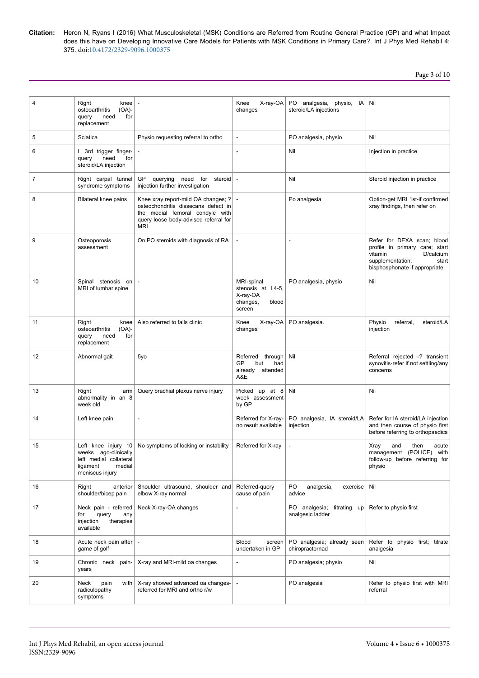Page 3 of 10

| 4  | Right<br>knee<br>osteoarthritis<br>(OA)-<br>query<br>need<br>for<br>replacement         |                                                                                                                                                                      | Knee<br>X-ray-OA<br>changes                                                | PO analgesia,<br>physio,<br>IA I<br>steroid/LA injections | Nil                                                                                                                                                |
|----|-----------------------------------------------------------------------------------------|----------------------------------------------------------------------------------------------------------------------------------------------------------------------|----------------------------------------------------------------------------|-----------------------------------------------------------|----------------------------------------------------------------------------------------------------------------------------------------------------|
| 5  | Sciatica                                                                                | Physio requesting referral to ortho                                                                                                                                  |                                                                            | PO analgesia, physio                                      | Nil                                                                                                                                                |
| 6  | L 3rd trigger finger-<br>need<br>query<br>for<br>steroid/LA injection                   |                                                                                                                                                                      |                                                                            | Nil                                                       | Injection in practice                                                                                                                              |
| 7  | Right carpal tunnel<br>syndrome symptoms                                                | GP<br>querying need for<br>steroid   -<br>injection further investigation                                                                                            |                                                                            | Nil                                                       | Steroid injection in practice                                                                                                                      |
| 8  | Bilateral knee pains                                                                    | Knee xray report-mild OA changes; ?<br>osteochondritis dissecans defect in<br>the medial femoral condyle with<br>query loose body-advised referral for<br><b>MRI</b> |                                                                            | Po analgesia                                              | Option-get MRI 1st-if confirmed<br>xray findings, then refer on                                                                                    |
| 9  | Osteoporosis<br>assessment                                                              | On PO steroids with diagnosis of RA                                                                                                                                  | $\overline{\phantom{a}}$                                                   | $\overline{a}$                                            | Refer for DEXA scan; blood<br>profile in primary care; start<br>vitamin<br>D/calcium<br>supplementation;<br>start<br>bisphosphonate if appropriate |
| 10 | Spinal stenosis on<br>MRI of lumbar spine                                               |                                                                                                                                                                      | MRI-spinal<br>stenosis at L4-5,<br>X-ray-OA<br>changes,<br>blood<br>screen | PO analgesia, physio                                      | Nil                                                                                                                                                |
| 11 | Right<br>knee<br>osteoarthritis<br>$(OA)$ -<br>query<br>need<br>for<br>replacement      | Also referred to falls clinic                                                                                                                                        | X-ray-OA<br>Knee<br>changes                                                | PO analgesia.                                             | Physio<br>steroid/LA<br>referral,<br>injection                                                                                                     |
| 12 | Abnormal gait                                                                           | 5yo                                                                                                                                                                  | Referred through<br>GP<br>but<br>had<br>already attended<br>A&E            | Nil                                                       | Referral rejected -? transient<br>synovitis-refer if not settling/any<br>concerns                                                                  |
| 13 | Right<br>arm<br>abnormality in an 8<br>week old                                         | Query brachial plexus nerve injury                                                                                                                                   | Picked up at 8<br>week assessment<br>by GP                                 | Nil                                                       | Nil                                                                                                                                                |
| 14 | Left knee pain                                                                          | ÷,                                                                                                                                                                   | Referred for X-ray-<br>no result available                                 | PO analgesia, IA steroid/LA<br>injection                  | Refer for IA steroid/LA injection<br>and then course of physio first<br>before referring to orthopaedics                                           |
| 15 | weeks ago-clinically<br>left medial collateral<br>ligament<br>medial<br>meniscus injury | Left knee injury 10 No symptoms of locking or instability                                                                                                            | Referred for X-ray                                                         |                                                           | Xray<br>then<br>acute<br>and<br>(POLICE)<br>with<br>management<br>follow-up before referring for<br>physio                                         |
| 16 | Right<br>anterior<br>shoulder/bicep pain                                                | Shoulder ultrasound, shoulder and<br>elbow X-ray normal                                                                                                              | Referred-query<br>cause of pain                                            | PO.<br>analgesia,<br>exercise<br>advice                   | Nil                                                                                                                                                |
| 17 | Neck pain - referred<br>query<br>for<br>any<br>injection<br>therapies<br>available      | Neck X-ray-OA changes                                                                                                                                                |                                                                            | PO analgesia; titrating up<br>analgesic ladder            | Refer to physio first                                                                                                                              |
| 18 | Acute neck pain after   -<br>game of golf                                               |                                                                                                                                                                      | <b>Blood</b><br>screen<br>undertaken in GP                                 | PO analgesia; already seen<br>chiropractornad             | Refer to physio first; titrate<br>analgesia                                                                                                        |
| 19 | Chronic neck pain-<br>years                                                             | X-ray and MRI-mild oa changes                                                                                                                                        |                                                                            | PO analgesia; physio                                      | Nil                                                                                                                                                |
| 20 | Neck<br>pain<br>with<br>radiculopathy<br>symptoms                                       | X-ray showed advanced oa changes-<br>referred for MRI and ortho r/w                                                                                                  | $\overline{\phantom{a}}$                                                   | PO analgesia                                              | Refer to physio first with MRI<br>referral                                                                                                         |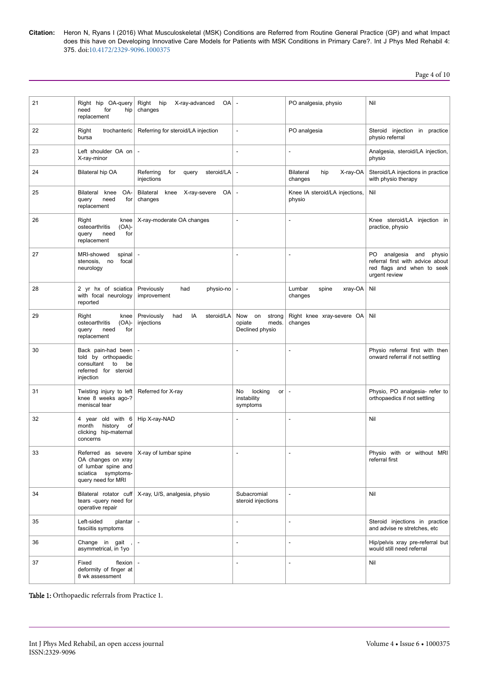Page 4 of 10

| 21 | Right hip OA-query<br>need<br>for<br>hip<br>replacement                                                  | Right hip<br>X-ray-advanced<br>OA<br>changes           |                                                           | PO analgesia, physio                           | Nil                                                                                                                              |
|----|----------------------------------------------------------------------------------------------------------|--------------------------------------------------------|-----------------------------------------------------------|------------------------------------------------|----------------------------------------------------------------------------------------------------------------------------------|
| 22 | Right<br>trochanteric<br>bursa                                                                           | Referring for steroid/LA injection                     | L,                                                        | PO analgesia                                   | Steroid injection in practice<br>physio referral                                                                                 |
| 23 | Left shoulder OA on<br>X-ray-minor                                                                       |                                                        |                                                           | $\overline{a}$                                 | Analgesia, steroid/LA injection,<br>physio                                                                                       |
| 24 | Bilateral hip OA                                                                                         | Referring<br>steroid/LA<br>for<br>query<br>injections  |                                                           | X-ray-OA<br><b>Bilateral</b><br>hip<br>changes | Steroid/LA injections in practice<br>with physio therapy                                                                         |
| 25 | OA-<br>Bilateral<br>knee<br>query<br>need<br>for<br>replacement                                          | Bilateral<br>OA<br>knee<br>X-ray-severe<br>changes     | $\overline{\phantom{a}}$                                  | Knee IA steroid/LA injections,<br>physio       | Nil                                                                                                                              |
| 26 | Right<br>knee<br>osteoarthritis<br>$(OA)$ -<br>for<br>need<br>query<br>replacement                       | X-ray-moderate OA changes                              |                                                           |                                                | Knee steroid/LA injection in<br>practice, physio                                                                                 |
| 27 | MRI-showed<br>spinal<br>stenosis,<br>focal<br>no<br>neurology                                            |                                                        |                                                           | $\overline{\phantom{a}}$                       | PO <sub>1</sub><br>analgesia<br>and<br>physio<br>referral first with advice about<br>red flags and when to seek<br>urgent review |
| 28 | 2 yr hx of sciatica<br>with focal neurology<br>reported                                                  | Previously<br>had<br>physio-no<br>improvement          | $\overline{a}$                                            | Lumbar<br>$xray-OA$<br>spine<br>changes        | Nil                                                                                                                              |
| 29 | Right<br>knee<br>$(OA)$ -<br>osteoarthritis<br>for<br>query<br>need<br>replacement                       | Previously<br>IA<br>steroid/LA<br>had<br>injections    | Now<br>on<br>strong<br>opiate<br>meds.<br>Declined physio | Right knee xray-severe OA<br>changes           | Nil                                                                                                                              |
| 30 | Back pain-had been<br>told by orthopaedic<br>consultant<br>to<br>be<br>referred for steroid<br>injection |                                                        |                                                           |                                                | Physio referral first with then<br>onward referral if not settling                                                               |
| 31 | Twisting injury to left<br>knee 8 weeks ago-?<br>meniscal tear                                           | Referred for X-ray                                     | locking<br>No<br>or<br>instability<br>symptoms            | $\overline{a}$                                 | Physio, PO analgesia- refer to<br>orthopaedics if not settling                                                                   |
| 32 | 4 year old with 6<br>history<br>οf<br>month<br>clicking hip-maternal<br>concerns                         | Hip X-ray-NAD                                          |                                                           | $\overline{\phantom{a}}$                       | Nil                                                                                                                              |
| 33 | OA changes on xray<br>of lumbar spine and<br>sciatica symptoms-<br>query need for MRI                    | Referred as severe $X$ -ray of lumbar spine            |                                                           |                                                | Physio with or without MRI<br>referral first                                                                                     |
| 34 | tears -query need for<br>operative repair                                                                | Bilateral rotator cuff   X-ray, U/S, analgesia, physio | Subacromial<br>steroid injections                         | $\overline{\phantom{a}}$                       | Nil                                                                                                                              |
| 35 | Left-sided<br>$planar$ -<br>fasciitis symptoms                                                           |                                                        | $\overline{a}$                                            | $\overline{\phantom{a}}$                       | Steroid injections in practice<br>and advise re stretches, etc                                                                   |
| 36 | Change in gait<br>asymmetrical, in 1yo                                                                   |                                                        | L,                                                        | $\overline{\phantom{a}}$                       | Hip/pelvis xray pre-referral but<br>would still need referral                                                                    |
| 37 | Fixed<br>flexion $\vert$ -<br>deformity of finger at<br>8 wk assessment                                  |                                                        | L,                                                        | L.                                             | Nil                                                                                                                              |

Table 1: Orthopaedic referrals from Practice 1.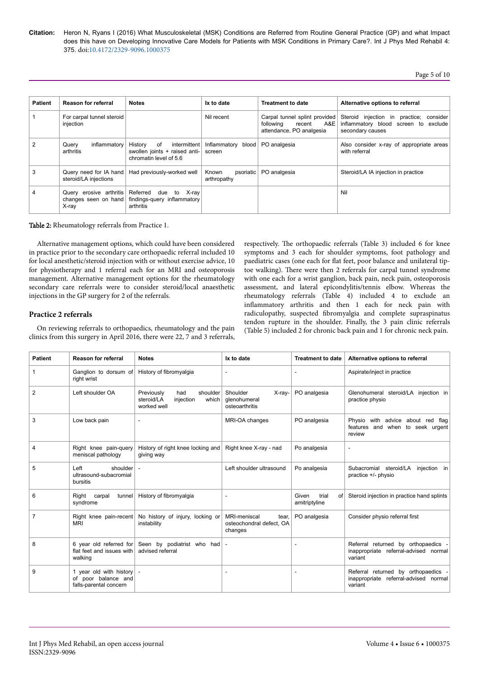| <b>Patient</b> | <b>Reason for referral</b>                               | <b>Notes</b>                                                                               | Ix to date                        | <b>Treatment to date</b>                                                             | Alternative options to referral                                                                     |
|----------------|----------------------------------------------------------|--------------------------------------------------------------------------------------------|-----------------------------------|--------------------------------------------------------------------------------------|-----------------------------------------------------------------------------------------------------|
|                | For carpal tunnel steroid<br>injection                   |                                                                                            | Nil recent                        | Carpal tunnel splint provided<br>recent A&E<br>following<br>attendance, PO analgesia | Steroid injection in practice; consider<br>inflammatory blood screen to exclude<br>secondary causes |
|                | inflammatory<br>Query<br>arthritis                       | History<br>0f<br>intermittent  <br>swollen joints + raised anti-<br>chromatin level of 5.6 | Inflammatory blood<br>screen      | PO analgesia                                                                         | Also consider x-ray of appropriate areas<br>with referral                                           |
| 3              | Query need for IA hand<br>steroid/LA injections          | Had previously-worked well                                                                 | Known<br>psoriatic<br>arthropathy | PO analgesia                                                                         | Steroid/LA IA injection in practice                                                                 |
|                | Query erosive arthritis<br>changes seen on hand<br>X-ray | Referred<br>to X-ray<br>due<br>findings-query inflammatory<br>arthritis                    |                                   |                                                                                      | Nil                                                                                                 |

Table 2: Rheumatology referrals from Practice 1.

Alternative management options, which could have been considered in practice prior to the secondary care orthopaedic referral included 10 for local anesthetic/steroid injection with or without exercise advice, 10 for physiotherapy and 1 referral each for an MRI and osteoporosis management. Alternative management options for the rheumatology secondary care referrals were to consider steroid/local anaesthetic injections in the GP surgery for 2 of the referrals.

# **Practice 2 referrals**

On reviewing referrals to orthopaedics, rheumatology and the pain clinics from this surgery in April 2016, there were 22, 7 and 3 referrals,

respectively. Нe orthopaedic referrals (Table 3) included 6 for knee symptoms and 3 each for shoulder symptoms, foot pathology and paediatric cases (one each for flat feet, poor balance and unilateral tiptoe walking). Нere were then 2 referrals for carpal tunnel syndrome with one each for a wrist ganglion, back pain, neck pain, osteoporosis assessment, and lateral epicondylitis/tennis elbow. Whereas the rheumatology referrals (Table 4) included 4 to exclude an inflammatory arthritis and then 1 each for neck pain with radiculopathy, suspected fibromyalgia and complete supraspinatus tendon rupture in the shoulder. Finally, the 3 pain clinic referrals (Table 5) included 2 for chronic back pain and 1 for chronic neck pain.

| <b>Patient</b> | <b>Reason for referral</b>                                               | <b>Notes</b>                                                                     | Ix to date                                                   | <b>Treatment to date</b>              | Alternative options to referral                                                       |
|----------------|--------------------------------------------------------------------------|----------------------------------------------------------------------------------|--------------------------------------------------------------|---------------------------------------|---------------------------------------------------------------------------------------|
| 1              | Ganglion to dorsum of<br>right wrist                                     | History of fibromyalgia                                                          | $\overline{a}$                                               |                                       | Aspirate/inject in practice                                                           |
| 2              | Left shoulder OA                                                         | shoulder<br>Previously<br>had<br>injection<br>steroid/LA<br>which<br>worked well | Shoulder<br>X-ray-<br>glenohumeral<br>osteoarthritis         | PO analgesia                          | Glenohumeral steroid/LA injection in<br>practice physio                               |
| 3              | Low back pain                                                            | $\sim$                                                                           | MRI-OA changes                                               | PO analgesia                          | Physio with advice about red flag<br>features and when to seek urgent<br>review       |
| 4              | Right knee pain-query<br>meniscal pathology                              | History of right knee locking and<br>giving way                                  | Right knee X-ray - nad                                       | Po analgesia                          |                                                                                       |
| 5              | shoulder<br>Left<br>ultrasound-subacromial<br>bursitis                   | $\blacksquare$                                                                   | Left shoulder ultrasound                                     | Po analgesia                          | Subacromial steroid/LA<br>injection in<br>practice +/- physio                         |
| 6              | Right carpal<br>tunnel<br>syndrome                                       | History of fibromyalgia                                                          | $\overline{a}$                                               | Given<br>trial<br>of<br>amitriptyline | Steroid injection in practice hand splints                                            |
| 7              | Right knee pain-recent<br><b>MRI</b>                                     | No history of injury, locking or<br>instability                                  | MRI-meniscal<br>tear,<br>osteochondral defect, OA<br>changes | PO analgesia                          | Consider physio referral first                                                        |
| 8              | 6 year old referred for<br>flat feet and issues with<br>walking          | Seen by podiatrist who had<br>advised referral                                   | $\overline{\phantom{a}}$                                     |                                       | Referral returned by orthopaedics<br>inappropriate referral-advised normal<br>variant |
| 9              | 1 year old with history<br>of poor balance and<br>falls-parental concern | $\sim$                                                                           | ÷,                                                           | $\overline{\phantom{a}}$              | Referral returned by orthopaedics<br>inappropriate referral-advised normal<br>variant |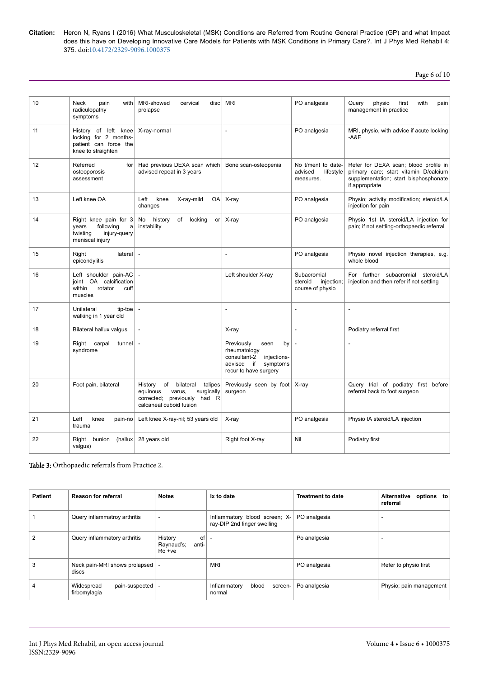Page 6 of 10

| 10              | <b>Neck</b><br>pain<br>with<br>radiculopathy<br>symptoms                                        | MRI-showed<br>cervical<br>disc<br>prolapse                                                                                          | <b>MRI</b>                                                                                                                    | PO analgesia                                             | Query<br>physio<br>first<br>with<br>pain<br>management in practice                                                                        |
|-----------------|-------------------------------------------------------------------------------------------------|-------------------------------------------------------------------------------------------------------------------------------------|-------------------------------------------------------------------------------------------------------------------------------|----------------------------------------------------------|-------------------------------------------------------------------------------------------------------------------------------------------|
| 11              | History of left knee<br>locking for 2 months-<br>patient can force the<br>knee to straighten    | X-ray-normal                                                                                                                        |                                                                                                                               | PO analgesia                                             | MRI, physio, with advice if acute locking<br>$-AAE$                                                                                       |
| 12 <sup>2</sup> | Referred<br>for <sub>l</sub><br>osteoporosis<br>assessment                                      | Had previous DEXA scan which<br>advised repeat in 3 years                                                                           | Bone scan-osteopenia                                                                                                          | No t/ment to date-<br>advised<br>lifestyle<br>measures.  | Refer for DEXA scan; blood profile in<br>primary care; start vitamin D/calcium<br>supplementation; start bisphosphonate<br>if appropriate |
| 13              | Left knee OA                                                                                    | Left<br>knee<br>X-ray-mild<br>OA<br>changes                                                                                         | X-ray                                                                                                                         | PO analgesia                                             | Physio; activity modification; steroid/LA<br>injection for pain                                                                           |
| 14              | Right knee pain for 3<br>years<br>following<br>a<br>twisting<br>injury-query<br>meniscal injury | history<br>No<br>of<br>locking<br>or<br>instability                                                                                 | X-ray                                                                                                                         | PO analgesia                                             | Physio 1st IA steroid/LA injection for<br>pain; if not settling-orthopaedic referral                                                      |
| 15              | Right<br>lateral<br>epicondylitis                                                               | L.                                                                                                                                  |                                                                                                                               | PO analgesia                                             | Physio novel injection therapies, e.g.<br>whole blood                                                                                     |
| 16              | Left shoulder pain-AC<br>joint OA calcification<br>within<br>rotator<br>cuff<br>muscles         |                                                                                                                                     | Left shoulder X-ray                                                                                                           | Subacromial<br>steroid<br>injection;<br>course of physio | For further subacromial steroid/LA<br>injection and then refer if not settling                                                            |
| 17              | Unilateral<br>tip-toe<br>walking in 1 year old                                                  | $\overline{a}$                                                                                                                      |                                                                                                                               |                                                          | $\overline{\phantom{a}}$                                                                                                                  |
| 18              | Bilateral hallux valgus                                                                         | $\overline{a}$                                                                                                                      | X-ray                                                                                                                         | ÷.                                                       | Podiatry referral first                                                                                                                   |
| 19              | Right carpal<br>tunnel<br>syndrome                                                              | $\sim$                                                                                                                              | Previously<br>by<br>seen<br>rheumatology<br>consultant-2<br>injections-<br>advised<br>if<br>symptoms<br>recur to have surgery | Ĭ.                                                       | L,                                                                                                                                        |
| 20              | Foot pain, bilateral                                                                            | History of<br>bilateral<br>talipes<br>surgically<br>equinous<br>varus,<br>had R<br>corrected; previously<br>calcaneal cuboid fusion | Previously seen by foot<br>surgeon                                                                                            | X-ray                                                    | Query trial of podiatry first before<br>referral back to foot surgeon                                                                     |
| 21              | Left<br>knee<br>pain-no<br>trauma                                                               | Left knee X-ray-nil; 53 years old                                                                                                   | X-ray                                                                                                                         | PO analgesia                                             | Physio IA steroid/LA injection                                                                                                            |
| 22              | bunion<br>(hallux<br>Right<br>valgus)                                                           | 28 years old                                                                                                                        | Right foot X-ray                                                                                                              | Nil                                                      | Podiatry first                                                                                                                            |

Table 3: Orthopaedic referrals from Practice 2.

| <b>Patient</b> | <b>Reason for referral</b>                   | <b>Notes</b>                                      | Ix to date                                                      | <b>Treatment to date</b> | options to<br><b>Alternative</b><br>referral |
|----------------|----------------------------------------------|---------------------------------------------------|-----------------------------------------------------------------|--------------------------|----------------------------------------------|
|                | Query inflammatroy arthritis                 |                                                   | Inflammatory blood screen; $X$ -<br>ray-DIP 2nd finger swelling | PO analgesia             | ۰.                                           |
|                | Query inflammatory arthritis                 | History<br>оf<br>Raynaud's;<br>anti-<br>$Ro + ve$ |                                                                 | Po analgesia             |                                              |
|                | Neck pain-MRI shows prolapsed<br>discs       |                                                   | <b>MRI</b>                                                      | PO analgesia             | Refer to physio first                        |
|                | Widespread<br>pain-suspected<br>firbomylagia |                                                   | Inflammatory<br>blood<br>screen-<br>normal                      | Po analgesia             | Physio; pain management                      |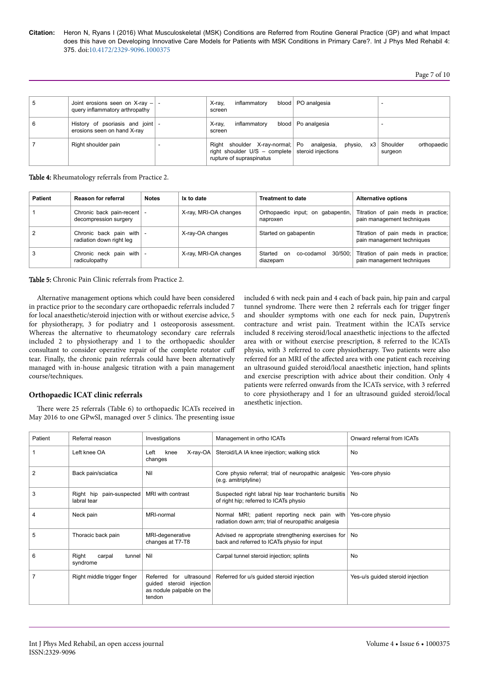| 5 | Joint erosions seen on X-ray $-$ -<br>query inflammatory arthropathy | X-ray,<br>inflammatory<br>screen                                                                                                    | blood   PO analgesia |                                    |
|---|----------------------------------------------------------------------|-------------------------------------------------------------------------------------------------------------------------------------|----------------------|------------------------------------|
| 6 | History of psoriasis and joint -<br>erosions seen on hand X-ray      | inflammatory<br>X-ray,<br>screen                                                                                                    | blood   Po analgesia |                                    |
|   | Right shoulder pain                                                  | Right shoulder X-ray-normal; Po analgesia,<br>right shoulder $U/S - \text{complete}$ steroid injections<br>rupture of supraspinatus | physio,<br>x3        | Shoulder<br>orthopaedic<br>surgeon |

Table 4: Rheumatology referrals from Practice 2.

| <b>Patient</b> | Reason for referral                                  | <b>Notes</b> | Ix to date            | <b>Treatment to date</b>                      | <b>Alternative options</b>                                                |
|----------------|------------------------------------------------------|--------------|-----------------------|-----------------------------------------------|---------------------------------------------------------------------------|
|                | Chronic back pain-recent<br>decompression surgery    |              | X-ray, MRI-OA changes | Orthopaedic input; on gabapentin,<br>naproxen | Titration of pain meds in practice;<br>pain management techniques         |
|                | Chronic back pain with -<br>radiation down right leg |              | X-ray-OA changes      | Started on gabapentin                         | Titration of pain meds in practice;<br>pain management techniques         |
|                | Chronic neck pain with -<br>radiculopathy            |              | X-ray, MRI-OA changes | Started<br>on co-codamol<br>diazepam          | 30/500; Titration of pain meds in practice;<br>pain management techniques |

Table 5: Chronic Pain Clinic referrals from Practice 2.

Alternative management options which could have been considered in practice prior to the secondary care orthopaedic referrals included 7 for local anaesthetic/steroid injection with or without exercise advice, 5 for physiotherapy, 3 for podiatry and 1 osteoporosis assessment. Whereas the alternative to rheumatology secondary care referrals included 2 to physiotherapy and 1 to the orthopaedic shoulder consultant to consider operative repair of the complete rotator cuff tear. Finally, the chronic pain referrals could have been alternatively managed with in-house analgesic titration with a pain management course/techniques.

# included 6 with neck pain and 4 each of back pain, hip pain and carpal tunnel syndrome. Нere were then 2 referrals each for trigger finger and shoulder symptoms with one each for neck pain, Dupytren's contracture and wrist pain. Treatment within the ICATs service included 8 receiving steroid/local anaesthetic injections to the affected area with or without exercise prescription, 8 referred to the ICATs physio, with 3 referred to core physiotherapy. Two patients were also referred for an MRI of the affected area with one patient each receiving an ultrasound guided steroid/local anaesthetic injection, hand splints and exercise prescription with advice about their condition. Only 4 patients were referred onwards from the ICATs service, with 3 referred to core physiotherapy and 1 for an ultrasound guided steroid/local anesthetic injection.

# **Orthopaedic ICAT clinic referrals**

There were 25 referrals (Table 6) to orthopaedic ICATs received in May 2016 to one GPwSI, managed over 5 clinics. Нe presenting issue

| Patient | Referral reason                         | Investigations                                                                                | Management in ortho ICATs                                                                          | Onward referral from ICATs       |
|---------|-----------------------------------------|-----------------------------------------------------------------------------------------------|----------------------------------------------------------------------------------------------------|----------------------------------|
|         | Left knee OA                            | Left<br>$X-ray-OA$<br>knee<br>changes                                                         | Steroid/LA IA knee injection; walking stick                                                        | No                               |
| 2       | Back pain/sciatica                      | Nil                                                                                           | Core physio referral; trial of neuropathic analgesic<br>(e.g. amitriptyline)                       | Yes-core physio                  |
| 3       | Right hip pain-suspected<br>labral tear | MRI with contrast                                                                             | Suspected right labral hip tear trochanteric bursitis<br>of right hip; referred to ICATs physio    | No                               |
| 4       | Neck pain                               | MRI-normal                                                                                    | Normal MRI; patient reporting neck pain with<br>radiation down arm; trial of neuropathic analgesia | Yes-core physio                  |
| 5       | Thoracic back pain                      | MRI-degenerative<br>changes at T7-T8                                                          | Advised re appropriate strengthening exercises for<br>back and referred to ICATs physio for input  | No                               |
| 6       | Right<br>carpal<br>tunnel<br>syndrome   | Nil                                                                                           | Carpal tunnel steroid injection; splints                                                           | No                               |
|         | Right middle trigger finger             | for ultrasound<br>Referred<br>guided steroid injection<br>as nodule palpable on the<br>tendon | Referred for u/s guided steroid injection                                                          | Yes-u/s quided steroid injection |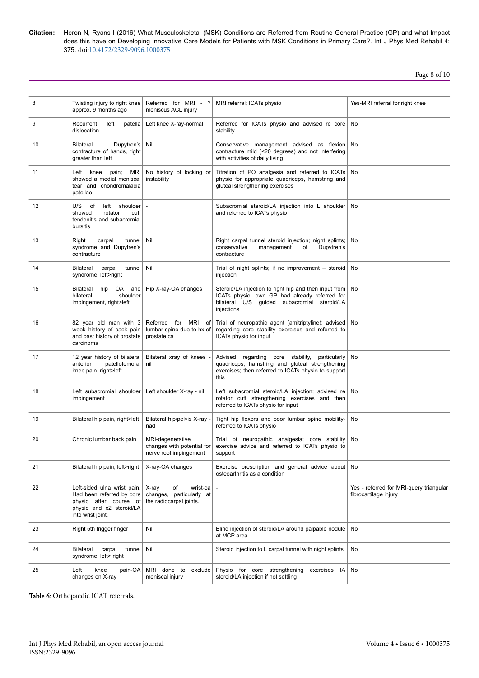Page 8 of 10

| 8  | Twisting injury to right knee<br>approx. 9 months ago                                                                               | Referred for MRI - ?<br>meniscus ACL injury                                    | MRI referral; ICATs physio                                                                                                                                          | Yes-MRI referral for right knee                                  |
|----|-------------------------------------------------------------------------------------------------------------------------------------|--------------------------------------------------------------------------------|---------------------------------------------------------------------------------------------------------------------------------------------------------------------|------------------------------------------------------------------|
| 9  | Recurrent<br>left<br>patella<br>dislocation                                                                                         | Left knee X-ray-normal                                                         | Referred for ICATs physio and advised re core<br>stability                                                                                                          | No                                                               |
| 10 | Dupytren's<br><b>Bilateral</b><br>contracture of hands, right<br>greater than left                                                  | Nil                                                                            | Conservative management advised as flexion<br>contracture mild (<20 degrees) and not interfering<br>with activities of daily living                                 | No                                                               |
| 11 | Left knee<br>pain;<br>MRI.<br>showed a medial meniscal<br>tear and chondromalacia<br>patellae                                       | No history of locking or<br>instability                                        | Titration of PO analgesia and referred to ICATs<br>physio for appropriate quadriceps, hamstring and<br>gluteal strengthening exercises                              | No                                                               |
| 12 | U/S<br>of<br>left<br>shoulder<br>rotator<br>showed<br>cuff<br>tendonitis and subacromial<br>bursitis                                |                                                                                | Subacromial steroid/LA injection into L shoulder<br>and referred to ICATs physio                                                                                    | No                                                               |
| 13 | tunnel<br>Right<br>carpal<br>syndrome and Dupytren's<br>contracture                                                                 | Nil                                                                            | Right carpal tunnel steroid injection; night splints;<br>Dupytren's<br>conservative<br>management<br>of<br>contracture                                              | No                                                               |
| 14 | <b>Bilateral</b><br>carpal<br>tunnel<br>syndrome, left>right                                                                        | Nil                                                                            | Trial of night splints; if no improvement – steroid<br>injection                                                                                                    | No                                                               |
| 15 | Bilateral<br>hip<br>OA<br>and<br>shoulder<br>bilateral<br>impingement, right>left                                                   | Hip X-ray-OA changes                                                           | Steroid/LA injection to right hip and then input from<br>ICATs physio; own GP had already referred for<br>bilateral U/S guided subacromial steroid/LA<br>injections | No                                                               |
| 16 | 82 year old man with 3<br>week history of back pain<br>and past history of prostate<br>carcinoma                                    | Referred for MRI of<br>lumbar spine due to hx of<br>prostate ca                | Trial of neuropathic agent (amitriptyline); advised<br>regarding core stability exercises and referred to<br>ICATs physio for input                                 | No                                                               |
| 17 | 12 year history of bilateral<br>patellofemoral<br>anterior<br>knee pain, right>left                                                 | Bilateral xray of knees<br>nil                                                 | Advised regarding core stability,<br>particularly<br>quadriceps, hamstring and gluteal strengthening<br>exercises; then referred to ICATs physio to support<br>this | No                                                               |
| 18 | Left subacromial shoulder<br>impingement                                                                                            | Left shoulder X-ray - nil                                                      | Left subacromial steroid/LA injection; advised re<br>rotator cuff strengthening exercises and then<br>referred to ICATs physio for input                            | No                                                               |
| 19 | Bilateral hip pain, right>left                                                                                                      | Bilateral hip/pelvis X-ray -<br>nad                                            | Tight hip flexors and poor lumbar spine mobility-<br>referred to ICATs physio                                                                                       | No                                                               |
| 20 | Chronic lumbar back pain                                                                                                            | MRI-degenerative<br>changes with potential for<br>nerve root impingement       | Trial of neuropathic analgesia; core stability<br>exercise advice and referred to ICATs physio to<br>support                                                        | No                                                               |
| 21 | Bilateral hip pain, left>right                                                                                                      | X-ray-OA changes                                                               | Exercise prescription and general advice about<br>osteoarthritis as a condition                                                                                     | No                                                               |
| 22 | Left-sided ulna wrist pain.<br>Had been referred by core<br>physio after course of<br>physio and x2 steroid/LA<br>into wrist joint. | X-ray<br>of<br>wrist-oa<br>changes, particularly at<br>the radiocarpal joints. |                                                                                                                                                                     | Yes - referred for MRI-query triangular<br>fibrocartilage injury |
| 23 | Right 5th trigger finger                                                                                                            | Nil                                                                            | Blind injection of steroid/LA around palpable nodule<br>at MCP area                                                                                                 | No                                                               |
| 24 | Bilateral<br>carpal<br>tunnel<br>syndrome, left> right                                                                              | Nil                                                                            | Steroid injection to L carpal tunnel with night splints                                                                                                             | No                                                               |
| 25 | pain-OA<br>Left<br>knee<br>changes on X-ray                                                                                         | MRI done to exclude<br>meniscal injury                                         | Physio for core strengthening<br>exercises<br>IA<br>steroid/LA injection if not settling                                                                            | No                                                               |

Table 6: Orthopaedic ICAT referrals.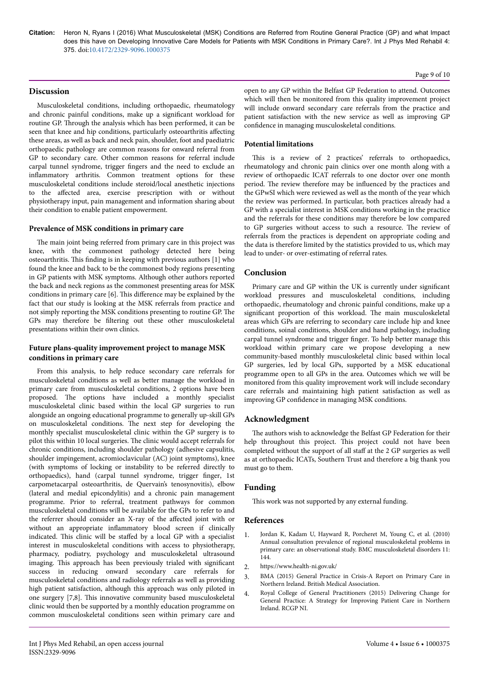# **Discussion**

Musculoskeletal conditions, including orthopaedic, rheumatology and chronic painful conditions, make up a significant workload for routine GP. Нrough the analysis which has been performed, it can be seen that knee and hip conditions, particularly osteoarthritis affecting these areas, as well as back and neck pain, shoulder, foot and paediatric orthopaedic pathology are common reasons for onward referral from GP to secondary care. Other common reasons for referral include carpal tunnel syndrome, trigger fingers and the need to exclude an inflammatory arthritis. Common treatment options for these musculoskeletal conditions include steroid/local anesthetic injections to the affected area, exercise prescription with or without physiotherapy input, pain management and information sharing about their condition to enable patient empowerment.

# **Prevalence of MSK conditions in primary care**

The main joint being referred from primary care in this project was knee, with the commonest pathology detected here being osteoarthritis. Нis finding is in keeping with previous authors [1] who found the knee and back to be the commonest body regions presenting in GP patients with MSK symptoms. Although other authors reported the back and neck regions as the commonest presenting areas for MSK conditions in primary care [6]. This difference may be explained by the fact that our study is looking at the MSK referrals from practice and not simply reporting the MSK conditions presenting to routine GP. Нe GPs may therefore be filtering out these other musculoskeletal presentations within their own clinics.

# **Future plans-quality improvement project to manage MSK conditions in primary care**

From this analysis, to help reduce secondary care referrals for musculoskeletal conditions as well as better manage the workload in primary care from musculoskeletal conditions, 2 options have been proposed. Нe options have included a monthly specialist musculoskeletal clinic based within the local GP surgeries to run alongside an ongoing educational programme to generally up-skill GPs on musculoskeletal conditions. Нe next step for developing the monthly specialist musculoskeletal clinic within the GP surgery is to pilot this within 10 local surgeries. Нe clinic would accept referrals for chronic conditions, including shoulder pathology (adhesive capsulitis, shoulder impingement, acromioclavicular (AC) joint symptoms), knee (with symptoms of locking or instability to be referred directly to orthopaedics), hand (carpal tunnel syndrome, trigger finger, 1st carpometacarpal osteoarthritis, de Quervain's tenosynovitis), elbow (lateral and medial epicondylitis) and a chronic pain management programme. Prior to referral, treatment pathways for common musculoskeletal conditions will be available for the GPs to refer to and the referrer should consider an X-ray of the affected joint with or without an appropriate inflammatory blood screen if clinically indicated. This clinic will be staffed by a local GP with a specialist interest in musculoskeletal conditions with access to physiotherapy, pharmacy, podiatry, psychology and musculoskeletal ultrasound imaging. Нis approach has been previously trialed with significant success in reducing onward secondary care referrals for musculoskeletal conditions and radiology referrals as well as providing high patient satisfaction, although this approach was only piloted in one surgery [7,8]. Нis innovative community based musculoskeletal clinic would then be supported by a monthly education programme on common musculoskeletal conditions seen within primary care and

Int J Phys Med Rehabil, an open access journal

ISSN:2329-9096

open to any GP within the Belfast GP Federation to attend. Outcomes which will then be monitored from this quality improvement project will include onward secondary care referrals from the practice and patient satisfaction with the new service as well as improving GP confidence in managing musculoskeletal conditions.

#### **Potential limitations**

This is a review of 2 practices' referrals to orthopaedics, rheumatology and chronic pain clinics over one month along with a review of orthopaedic ICAT referrals to one doctor over one month period. Нe review therefore may be influenced by the practices and the GPwSI which were reviewed as well as the month of the year which the review was performed. In particular, both practices already had a GP with a specialist interest in MSK conditions working in the practice and the referrals for these conditions may therefore be low compared to GP surgeries without access to such a resource. Нe review of referrals from the practices is dependent on appropriate coding and the data is therefore limited by the statistics provided to us, which may lead to under- or over-estimating of referral rates.

# **Conclusion**

Primary care and GP within the UK is currently under significant workload pressures and musculoskeletal conditions, including orthopaedic, rheumatology and chronic painful conditions, make up a significant proportion of this workload. Нe main musculoskeletal areas which GPs are referring to secondary care include hip and knee conditions, soinal conditions, shoulder and hand pathology, including carpal tunnel syndrome and trigger finger. To help better manage this workload within primary care we propose developing a new community-based monthly musculoskeletal clinic based within local GP surgeries, led by local GPs, supported by a MSK educational programme open to all GPs in the area. Outcomes which we will be monitored from this quality improvement work will include secondary care referrals and maintaining high patient satisfaction as well as improving GP confidence in managing MSK conditions.

# **Acknowledgment**

The authors wish to acknowledge the Belfast GP Federation for their help throughout this project. This project could not have been completed without the support of all staff at the 2 GP surgeries as well as at orthopaedic ICATs, Southern Trust and therefore a big thank you must go to them.

# **Funding**

This work was not supported by any external funding.

# **References**

- 1. [Jordan K, Kadam U, Hayward R, Porcheret M, Young C, et al. \(2010\)](https://www.ncbi.nlm.nih.gov/pubmed/20598124) [Annual consultation prevalence of regional musculoskeletal problems in](https://www.ncbi.nlm.nih.gov/pubmed/20598124) [primary care: an observational study. BMC musculoskeletal disorders 11:](https://www.ncbi.nlm.nih.gov/pubmed/20598124) [144.](https://www.ncbi.nlm.nih.gov/pubmed/20598124)
- 2. <https://www.health-ni.gov.uk/>
- 3. [BMA \(2015\) General Practice in Crisis-A Report on Primary Care in](https://www.google.com/search?q=General+Practice+in+Crisis+-+A+Report+on+Primary+Care+in+Northern+Ireland.+British+Medical+Association+publications+&ie=utf-8&oe=utf-8&client=firefox-b) [Northern Ireland. British Medical Association.](https://www.google.com/search?q=General+Practice+in+Crisis+-+A+Report+on+Primary+Care+in+Northern+Ireland.+British+Medical+Association+publications+&ie=utf-8&oe=utf-8&client=firefox-b)
- 4. [Royal College of General Practitioners \(2015\) Delivering Change for](https://www.google.com/url?sa=t&rct=j&q=&esrc=s&source=web&cd=2&ved=0ahUKEwiclcnBlvjPAhXByrwKHYBCCfIQFgglMAE&url=http%3A%2F%2Fwww.rcgp.org.uk%2Fpolicy%2F~%2Fmedia%2FFiles%2FPolicy%2FNorthern-Ireland%2FRCGP-Northern-Ireland-Blueprint-2015.ashx&usg=AFQjCNGtG1hicHc454-WZiJ_aLv1FVyFkg&cad=rja) [General Practice: A Strategy for Improving Patient Care in Northern](https://www.google.com/url?sa=t&rct=j&q=&esrc=s&source=web&cd=2&ved=0ahUKEwiclcnBlvjPAhXByrwKHYBCCfIQFgglMAE&url=http%3A%2F%2Fwww.rcgp.org.uk%2Fpolicy%2F~%2Fmedia%2FFiles%2FPolicy%2FNorthern-Ireland%2FRCGP-Northern-Ireland-Blueprint-2015.ashx&usg=AFQjCNGtG1hicHc454-WZiJ_aLv1FVyFkg&cad=rja) [Ireland. RCGP NI.](https://www.google.com/url?sa=t&rct=j&q=&esrc=s&source=web&cd=2&ved=0ahUKEwiclcnBlvjPAhXByrwKHYBCCfIQFgglMAE&url=http%3A%2F%2Fwww.rcgp.org.uk%2Fpolicy%2F~%2Fmedia%2FFiles%2FPolicy%2FNorthern-Ireland%2FRCGP-Northern-Ireland-Blueprint-2015.ashx&usg=AFQjCNGtG1hicHc454-WZiJ_aLv1FVyFkg&cad=rja)